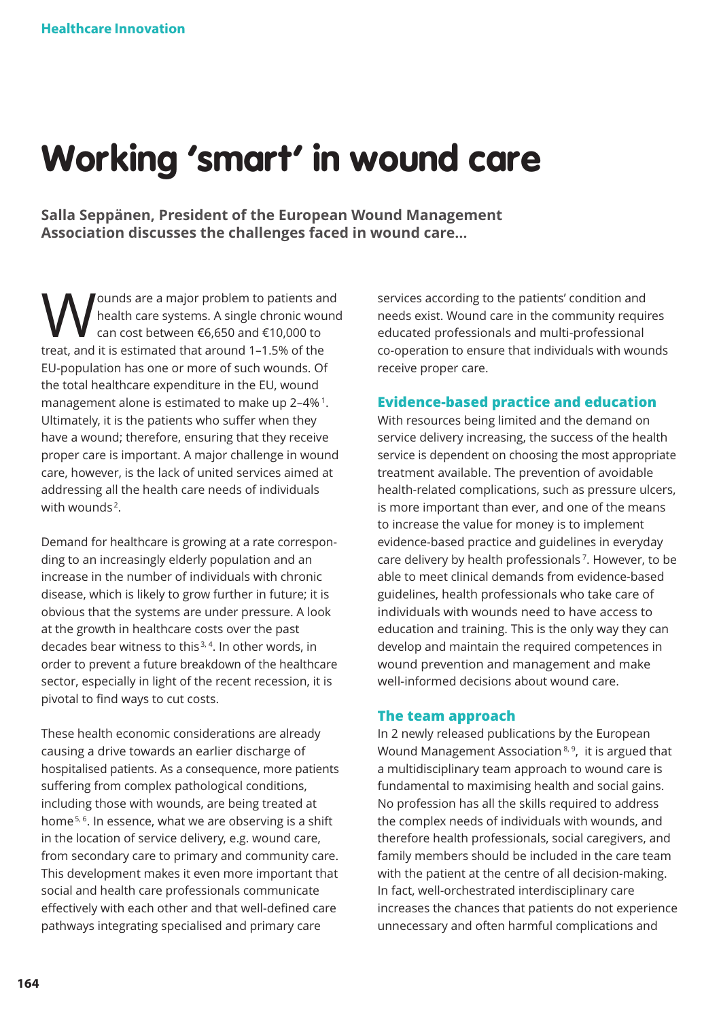# **Working 'smart' in wound care**

**Salla Seppänen, President of the European Wound Management Association discusses the challenges faced in wound care…**

ounds are a major problem to patients and health care systems. A single chronic wound can cost between €6,650 and €10,000 to treat, and it is estimated that around 1–1.5% of the EU-population has one or more of such wounds. Of the total healthcare expenditure in the EU, wound management alone is estimated to make up 2–4% 1. Ultimately, it is the patients who suffer when they have a wound; therefore, ensuring that they receive proper care is important. A major challenge in wound care, however, is the lack of united services aimed at addressing all the health care needs of individuals with wounds<sup>2</sup>.

Demand for healthcare is growing at a rate corresponding to an increasingly elderly population and an increase in the number of individuals with chronic disease, which is likely to grow further in future; it is obvious that the systems are under pressure. A look at the growth in healthcare costs over the past decades bear witness to this  $3, 4$ . In other words, in order to prevent a future breakdown of the healthcare sector, especially in light of the recent recession, it is pivotal to find ways to cut costs.

These health economic considerations are already causing a drive towards an earlier discharge of hospitalised patients. As a consequence, more patients suffering from complex pathological conditions, including those with wounds, are being treated at home<sup>5, 6</sup>. In essence, what we are observing is a shift in the location of service delivery, e.g. wound care, from secondary care to primary and community care. This development makes it even more important that social and health care professionals communicate effectively with each other and that well-defined care pathways integrating specialised and primary care

services according to the patients' condition and needs exist. Wound care in the community requires educated professionals and multi-professional co-operation to ensure that individuals with wounds receive proper care.

### **Evidence-based practice and education**

With resources being limited and the demand on service delivery increasing, the success of the health service is dependent on choosing the most appropriate treatment available. The prevention of avoidable health-related complications, such as pressure ulcers, is more important than ever, and one of the means to increase the value for money is to implement evidence-based practice and guidelines in everyday care delivery by health professionals<sup>7</sup>. However, to be able to meet clinical demands from evidence-based guidelines, health professionals who take care of individuals with wounds need to have access to education and training. This is the only way they can develop and maintain the required competences in wound prevention and management and make well-informed decisions about wound care.

#### **The team approach**

In 2 newly released publications by the European Wound Management Association  $8,9$ , it is argued that a multidisciplinary team approach to wound care is fundamental to maximising health and social gains. No profession has all the skills required to address the complex needs of individuals with wounds, and therefore health professionals, social caregivers, and family members should be included in the care team with the patient at the centre of all decision-making. In fact, well-orchestrated interdisciplinary care increases the chances that patients do not experience unnecessary and often harmful complications and